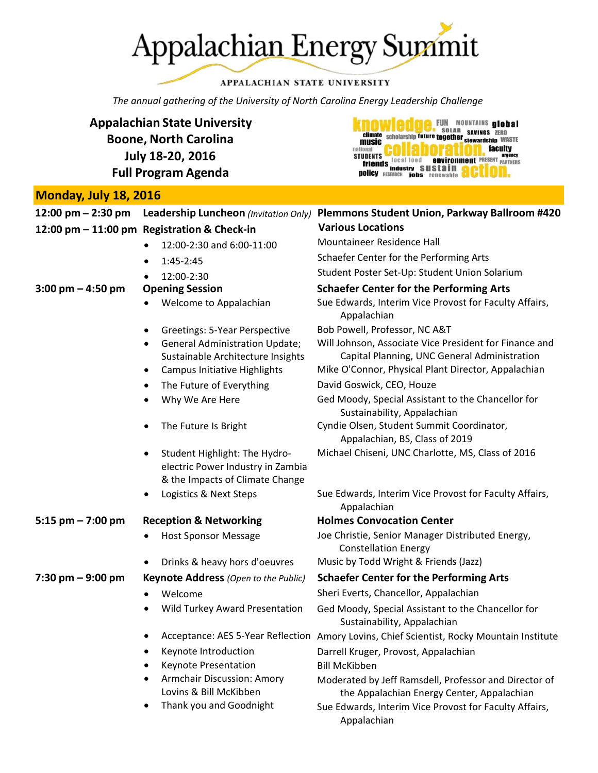

### APPALACHIAN STATE UNIVERSITY

FUN MOUNTAINS ulobal

**Environment** PRESENT PARTNERS

**faculty** 

**EN DISTURBADO DE SOLAR SAVINGS ZERO<br>Climate Scholarship future together savings ZERO**<br>MUSIC SAVING A LOCAL SERVATISHIP WASTE

UDENTS<br>friends local food environ<br>nollow industry sustain

music

**STUDENTS** 

**policy** RESEARCH

*The annual gathering of the University of North Carolina Energy Leadership Challenge*

**Appalachian State University Boone, North Carolina July 18‐20, 2016 Full Program Agenda**

### **Monday, July 18, 2016**

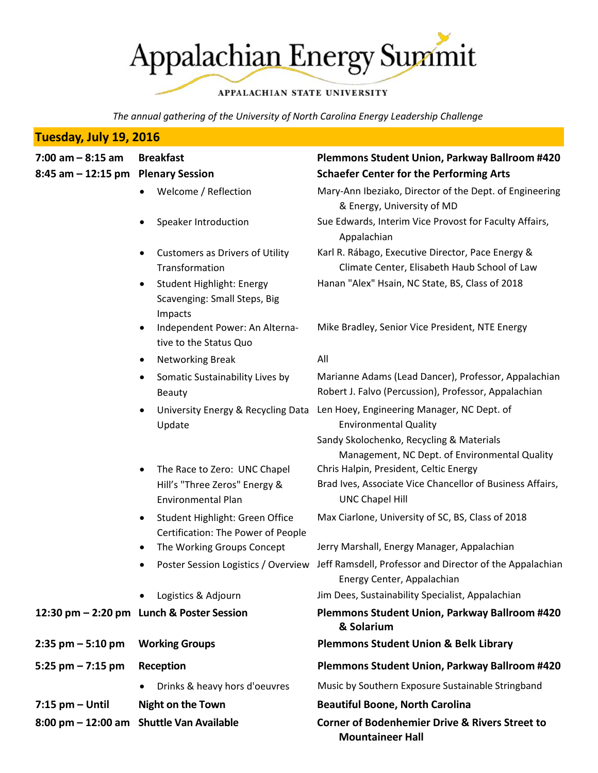# Appalachian Energy Summit

### APPALACHIAN STATE UNIVERSITY

*The annual gathering of the University of North Carolina Energy Leadership Challenge*

# **Tuesday, July 19, 2016**

- 
- Customers as Drivers of Utility Transformation
- Student Highlight: Energy Scavenging: Small Steps, Big Impacts
- Independent Power: An Alternative to the Status Quo
- Networking Break All
- Somatic Sustainability Lives by Beauty
- University Energy & Recycling Data Update
- The Race to Zero: UNC Chapel Hill's "Three Zeros" Energy & Environmental Plan
- Student Highlight: Green Office Certification: The Power of People
- 
- 
- 

- 
- -
- **7:15 pm – Until Night on the Town**
- **8:00 pm – 12:00 am Shuttle Van Available**

## **7:00 am – 8:15 am Breakfast Plemmons Student Union, Parkway Ballroom #420 8:45 am – 12:15 pm Plenary Session Schaefer Center for the Performing Arts**

- Welcome / Reflection Mary-Ann Ibeziako, Director of the Dept. of Engineering & Energy, University of MD
- Speaker Introduction Sue Edwards, Interim Vice Provost for Faculty Affairs, Appalachian
	- Karl R. Rábago, Executive Director, Pace Energy & Climate Center, Elisabeth Haub School of Law
	- Hanan "Alex" Hsain, NC State, BS, Class of 2018

Mike Bradley, Senior Vice President, NTE Energy

Marianne Adams (Lead Dancer), Professor, Appalachian Robert J. Falvo (Percussion), Professor, Appalachian Len Hoey, Engineering Manager, NC Dept. of Environmental Quality Sandy Skolochenko, Recycling & Materials Management, NC Dept. of Environmental Quality Chris Halpin, President, Celtic Energy Brad Ives, Associate Vice Chancellor of Business Affairs, UNC Chapel Hill Max Ciarlone, University of SC, BS, Class of 2018 The Working Groups Concept Jerry Marshall, Energy Manager, Appalachian Poster Session Logistics / Overview Jeff Ramsdell, Professor and Director of the Appalachian Energy Center, Appalachian Logistics & Adjourn Jim Dees, Sustainability Specialist, Appalachian **12:30 pm – 2:20 pm Lunch & Poster Session Plemmons Student Union, Parkway Ballroom #420 & Solarium 2:35 pm – 5:10 pm Working Groups Plemmons Student Union & Belk Library 5:25 pm – 7:15 pm Reception Plemmons Student Union, Parkway Ballroom #420** Drinks & heavy hors d'oeuvres Music by Southern Exposure Sustainable Stringband **Beautiful Boone, North Carolina Corner of Bodenhemier Drive & Rivers Street to Mountaineer Hall**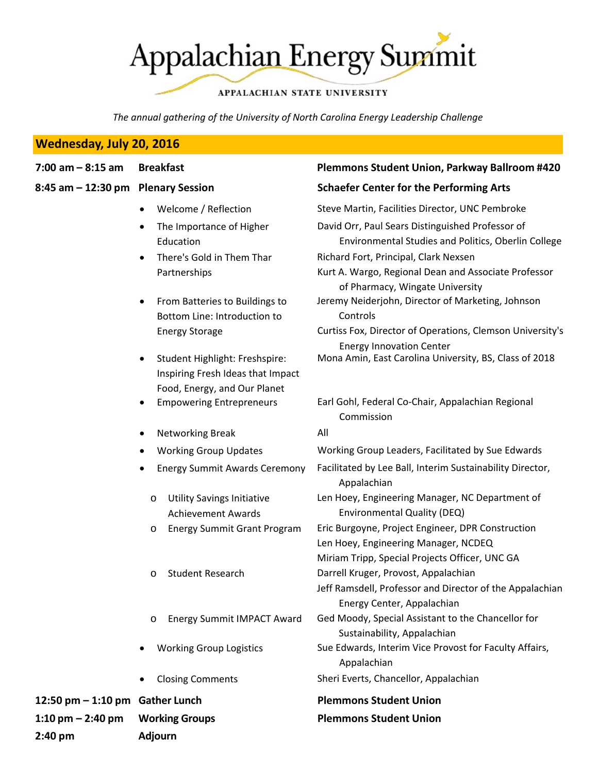**Appalachian Energy Summit** 

### APPALACHIAN STATE UNIVERSITY

*The annual gathering of the University of North Carolina Energy Leadership Challenge*

### **Wednesday, July 20, 2016**

| <b>Breakfas</b><br>7:00 am – 8:15 am |
|--------------------------------------|
|--------------------------------------|

- - Welcome / Reflection
	- The Importance of Higher Education
	- There's Gold in Them Thar Partnerships
	- From Batteries to Buildings to Bottom Line: Introduction to Energy Storage
	- Student Highlight: Freshspire: Inspiring Fresh Ideas that Impact Food, Energy, and Our Planet
	- Empowering Entrepreneurs
	- Networking Break
	- Working Group Updates
	- Energy Summit Awards Ceremony
		- o Utility Savings Initiative Achievement Awards
		- o Energy Summit Grant Program
		- o Student Research
		- o Energy Summit IMPACT Award
	- Working Group Logistics
	- Closing Comments

**12:50** pm – **1:10** pm Gather Lunch **1:10 pm**  $-$  **2:40 pm Working Groups 2:40 pm Adjourn**

### **7:00 am – 8:15 am Breakfast Plemmons Student Union, Parkway Ballroom #420**

### **8:45 am – 12:30 pm Plenary Session Schaefer Center for the Performing Arts**

|   | Steve Martin, Facilities Director, UNC Pembroke                                  |
|---|----------------------------------------------------------------------------------|
|   | David Orr, Paul Sears Distinguished Professor of                                 |
|   | Environmental Studies and Politics, Oberlin College                              |
|   | Richard Fort, Principal, Clark Nexsen                                            |
|   | Kurt A. Wargo, Regional Dean and Associate Professor                             |
|   | of Pharmacy, Wingate University                                                  |
|   | Jeremy Neiderjohn, Director of Marketing, Johnson<br>Controls                    |
|   | Curtiss Fox, Director of Operations, Clemson University's                        |
|   | <b>Energy Innovation Center</b>                                                  |
|   | Mona Amin, East Carolina University, BS, Class of 2018                           |
|   |                                                                                  |
|   | Earl Gohl, Federal Co-Chair, Appalachian Regional                                |
|   | Commission                                                                       |
|   | All                                                                              |
|   | Working Group Leaders, Facilitated by Sue Edwards                                |
| ý | Facilitated by Lee Ball, Interim Sustainability Director,                        |
|   | Appalachian                                                                      |
|   | Len Hoey, Engineering Manager, NC Department of                                  |
|   | Environmental Quality (DEQ)                                                      |
|   | Eric Burgoyne, Project Engineer, DPR Construction                                |
|   | Len Hoey, Engineering Manager, NCDEQ                                             |
|   | Miriam Tripp, Special Projects Officer, UNC GA                                   |
|   | Darrell Kruger, Provost, Appalachian                                             |
|   | Jeff Ramsdell, Professor and Director of the Appalachian                         |
|   | Energy Center, Appalachian<br>Ged Moody, Special Assistant to the Chancellor for |
|   | Sustainability, Appalachian                                                      |
|   | Sue Edwards, Interim Vice Provost for Faculty Affairs,                           |
|   | Appalachian                                                                      |
|   | Sheri Everts, Chancellor, Appalachian                                            |
|   | <b>Plemmons Student Union</b>                                                    |
|   | <b>Plemmons Student Union</b>                                                    |
|   |                                                                                  |